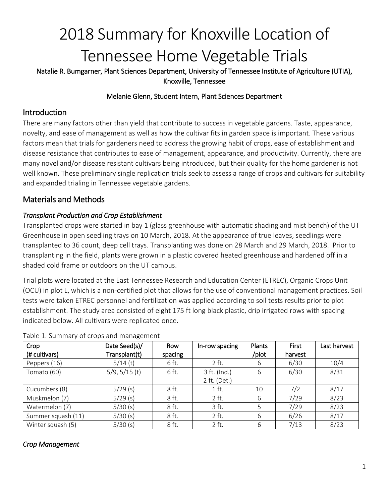# 2018 Summary for Knoxville Location of Tennessee Home Vegetable Trials

Natalie R. Bumgarner, Plant Sciences Department, University of Tennessee Institute of Agriculture (UTIA), Knoxville, Tennessee

### Melanie Glenn, Student Intern, Plant Sciences Department

## Introduction

There are many factors other than yield that contribute to success in vegetable gardens. Taste, appearance, novelty, and ease of management as well as how the cultivar fits in garden space is important. These various factors mean that trials for gardeners need to address the growing habit of crops, ease of establishment and disease resistance that contributes to ease of management, appearance, and productivity. Currently, there are many novel and/or disease resistant cultivars being introduced, but their quality for the home gardener is not well known. These preliminary single replication trials seek to assess a range of crops and cultivars for suitability and expanded trialing in Tennessee vegetable gardens.

# Materials and Methods

## *Transplant Production and Crop Establishment*

Transplanted crops were started in bay 1 (glass greenhouse with automatic shading and mist bench) of the UT Greenhouse in open seedling trays on 10 March, 2018. At the appearance of true leaves, seedlings were transplanted to 36 count, deep cell trays. Transplanting was done on 28 March and 29 March, 2018. Prior to transplanting in the field, plants were grown in a plastic covered heated greenhouse and hardened off in a shaded cold frame or outdoors on the UT campus.

Trial plots were located at the East Tennessee Research and Education Center (ETREC), Organic Crops Unit (OCU) in plot L, which is a non-certified plot that allows for the use of conventional management practices. Soil tests were taken ETREC personnel and fertilization was applied according to soil tests results prior to plot establishment. The study area consisted of eight 175 ft long black plastic, drip irrigated rows with spacing indicated below. All cultivars were replicated once.

| Crop               | Date Seed(s)/   | Row     | In-row spacing | Plants | First   | Last harvest |
|--------------------|-----------------|---------|----------------|--------|---------|--------------|
| (# cultivars)      | Transplant(t)   | spacing |                | /plot  | harvest |              |
| Peppers (16)       | $5/14$ (t)      | 6 ft.   | 2 ft.          | 6      | 6/30    | 10/4         |
| Tomato (60)        | $5/9, 5/15$ (t) | 6 ft.   | 3 ft. (Ind.)   | 6      | 6/30    | 8/31         |
|                    |                 |         | 2 ft. (Det.)   |        |         |              |
| Cucumbers (8)      | $5/29$ (s)      | 8 ft.   | $1$ ft.        | 10     | 7/2     | 8/17         |
| Muskmelon (7)      | $5/29$ (s)      | 8 ft.   | $2$ ft.        | 6      | 7/29    | 8/23         |
| Watermelon (7)     | 5/30(s)         | 8 ft.   | 3 ft.          |        | 7/29    | 8/23         |
| Summer squash (11) | 5/30(s)         | 8 ft.   | $2$ ft.        | 6      | 6/26    | 8/17         |
| Winter squash (5)  | 5/30(s)         | 8 ft.   | 2 ft.          | 6      | 7/13    | 8/23         |

#### Table 1. Summary of crops and management

## *Crop Management*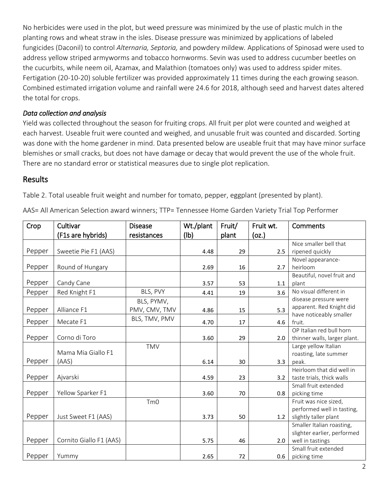No herbicides were used in the plot, but weed pressure was minimized by the use of plastic mulch in the planting rows and wheat straw in the isles. Disease pressure was minimized by applications of labeled fungicides (Daconil) to control *Alternaria, Septoria,* and powdery mildew*.* Applications of Spinosad were used to address yellow striped armyworms and tobacco hornworms. Sevin was used to address cucumber beetles on the cucurbits, while neem oil, Azamax, and Malathion (tomatoes only) was used to address spider mites. Fertigation (20-10-20) soluble fertilizer was provided approximately 11 times during the each growing season. Combined estimated irrigation volume and rainfall were 24.6 for 2018, although seed and harvest dates altered the total for crops.

## *Data collection and analysis*

Yield was collected throughout the season for fruiting crops. All fruit per plot were counted and weighed at each harvest. Useable fruit were counted and weighed, and unusable fruit was counted and discarded. Sorting was done with the home gardener in mind. Data presented below are useable fruit that may have minor surface blemishes or small cracks, but does not have damage or decay that would prevent the use of the whole fruit. There are no standard error or statistical measures due to single plot replication.

# **Results**

Table 2. Total useable fruit weight and number for tomato, pepper, eggplant (presented by plant).

AAS= All American Selection award winners; TTP= Tennessee Home Garden Variety Trial Top Performer

| Crop   | Cultivar                | <b>Disease</b>  | Wt./plant | Fruit/ | Fruit wt. | Comments                                 |
|--------|-------------------------|-----------------|-----------|--------|-----------|------------------------------------------|
|        | (F1s are hybrids)       | resistances     | (Ib)      | plant  | (oz.)     |                                          |
|        |                         |                 |           |        |           | Nice smaller bell that                   |
| Pepper | Sweetie Pie F1 (AAS)    |                 | 4.48      | 29     | 2.5       | ripened quickly                          |
|        |                         |                 |           |        |           | Novel appearance-                        |
| Pepper | Round of Hungary        |                 | 2.69      | 16     | 2.7       | heirloom                                 |
|        |                         |                 |           |        |           | Beautiful, novel fruit and               |
| Pepper | Candy Cane              |                 | 3.57      | 53     | 1.1       | plant                                    |
| Pepper | Red Knight F1           | BLS, PVY        | 4.41      | 19     | 3.6       | No visual different in                   |
|        |                         | BLS, PYMV,      |           |        |           | disease pressure were                    |
| Pepper | Alliance F1             | PMV, CMV, TMV   | 4.86      | 15     | 5.3       | apparent. Red Knight did                 |
|        |                         | BLS, TMV, PMV   |           |        |           | have noticeably smaller                  |
| Pepper | Mecate F1               |                 | 4.70      | 17     | 4.6       | fruit.                                   |
|        |                         |                 |           |        |           | OP Italian red bull horn                 |
| Pepper | Corno di Toro           |                 | 3.60      | 29     | 2.0       | thinner walls, larger plant.             |
|        | Mama Mia Giallo F1      | <b>TMV</b>      |           |        |           | Large yellow Italian                     |
|        |                         |                 |           |        |           | roasting, late summer                    |
| Pepper | (AAS)                   |                 | 6.14      | 30     | 3.3       | peak.                                    |
|        |                         |                 |           |        |           | Heirloom that did well in                |
| Pepper | Ajvarski                |                 | 4.59      | 23     | 3.2       | taste trials, thick walls                |
|        |                         |                 |           |        |           | Small fruit extended                     |
| Pepper | Yellow Sparker F1       |                 | 3.60      | 70     | 0.8       | picking time                             |
|        |                         | Tm <sub>0</sub> |           |        |           | Fruit was nice sized,                    |
|        |                         |                 |           |        |           | performed well in tasting,               |
| Pepper | Just Sweet F1 (AAS)     |                 | 3.73      | 50     | 1.2       | slightly taller plant                    |
|        |                         |                 |           |        |           | Smaller Italian roasting,                |
| Pepper |                         |                 |           |        |           | slighter earlier, performed              |
|        | Cornito Giallo F1 (AAS) |                 | 5.75      | 46     | 2.0       | well in tastings<br>Small fruit extended |
|        |                         |                 |           |        |           |                                          |
| Pepper | Yummy                   |                 | 2.65      | 72     | 0.6       | picking time                             |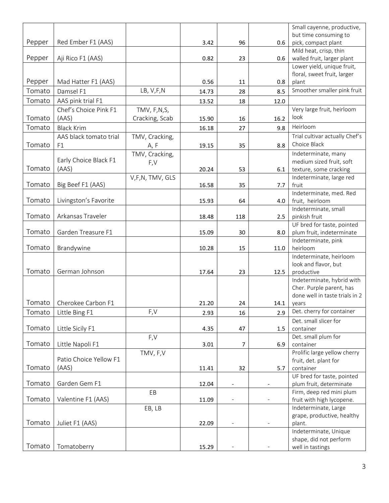|        |                        |                 |       |                          |      | Small cayenne, productive,     |
|--------|------------------------|-----------------|-------|--------------------------|------|--------------------------------|
|        |                        |                 |       |                          |      | but time consuming to          |
| Pepper | Red Ember F1 (AAS)     |                 | 3.42  | 96                       | 0.6  | pick, compact plant            |
|        |                        |                 |       |                          |      | Mild heat, crisp, thin         |
| Pepper | Aji Rico F1 (AAS)      |                 | 0.82  | 23                       | 0.6  | walled fruit, larger plant     |
|        |                        |                 |       |                          |      | Lower yield, unique fruit,     |
|        |                        |                 |       |                          |      | floral, sweet fruit, larger    |
| Pepper | Mad Hatter F1 (AAS)    |                 | 0.56  | 11                       | 0.8  | plant                          |
| Tomato | Damsel F1              | LB, V,F,N       |       |                          | 8.5  | Smoother smaller pink fruit    |
|        |                        |                 | 14.73 | 28                       |      |                                |
| Tomato | AAS pink trial F1      |                 | 13.52 | 18                       | 12.0 |                                |
|        | Chef's Choice Pink F1  | TMV, F,N,S,     |       |                          |      | Very large fruit, heirloom     |
| Tomato | (AAS)                  | Cracking, Scab  | 15.90 | 16                       | 16.2 | look                           |
| Tomato | <b>Black Krim</b>      |                 | 16.18 | 27                       | 9.8  | Heirloom                       |
|        | AAS black tomato trial | TMV, Cracking,  |       |                          |      | Trial cultivar actually Chef's |
| Tomato | F1                     |                 |       |                          |      | Choice Black                   |
|        |                        | A, F            | 19.15 | 35                       | 8.8  |                                |
|        | Early Choice Black F1  | TMV, Cracking,  |       |                          |      | Indeterminate, many            |
|        |                        | F,V             |       |                          |      | medium sized fruit, soft       |
| Tomato | (AAS)                  |                 | 20.24 | 53                       | 6.1  | texture, some cracking         |
|        |                        | V,F,N, TMV, GLS |       |                          |      | Indeterminate, large red       |
| Tomato | Big Beef F1 (AAS)      |                 | 16.58 | 35                       | 7.7  | fruit                          |
|        |                        |                 |       |                          |      | Indeterminate, med. Red        |
| Tomato | Livingston's Favorite  |                 | 15.93 | 64                       | 4.0  | fruit, heirloom                |
|        |                        |                 |       |                          |      | Indeterminate, small           |
| Tomato | Arkansas Traveler      |                 | 18.48 | 118                      | 2.5  | pinkish fruit                  |
|        |                        |                 |       |                          |      | UF bred for taste, pointed     |
| Tomato | Garden Treasure F1     |                 | 15.09 | 30                       | 8.0  | plum fruit, indeterminate      |
|        |                        |                 |       |                          |      | Indeterminate, pink            |
| Tomato | Brandywine             |                 | 10.28 | 15                       | 11.0 | heirloom                       |
|        |                        |                 |       |                          |      | Indeterminate, heirloom        |
|        |                        |                 |       |                          |      | look and flavor, but           |
| Tomato | German Johnson         |                 | 17.64 | 23                       | 12.5 | productive                     |
|        |                        |                 |       |                          |      | Indeterminate, hybrid with     |
|        |                        |                 |       |                          |      | Cher. Purple parent, has       |
|        |                        |                 |       |                          |      | done well in taste trials in 2 |
| Tomato | Cherokee Carbon F1     |                 | 21.20 | 24                       | 14.1 | years                          |
| Tomato | Little Bing F1         | F,V             |       |                          | 2.9  | Det. cherry for container      |
|        |                        |                 | 2.93  | 16                       |      |                                |
| Tomato | Little Sicily F1       |                 |       |                          |      | Det. small slicer for          |
|        |                        |                 | 4.35  | 47                       | 1.5  | container                      |
|        |                        | F,V             |       |                          |      | Det. small plum for            |
| Tomato | Little Napoli F1       |                 | 3.01  | 7                        | 6.9  | container                      |
|        | Patio Choice Yellow F1 | TMV, F,V        |       |                          |      | Prolific large yellow cherry   |
|        |                        |                 |       |                          |      | fruit, det. plant for          |
| Tomato | (AAS)                  |                 | 11.41 | 32                       | 5.7  | container                      |
|        |                        |                 |       |                          |      | UF bred for taste, pointed     |
| Tomato | Garden Gem F1          |                 | 12.04 | -                        |      | plum fruit, determinate        |
|        |                        | EB              |       |                          |      | Firm, deep red mini plum       |
| Tomato | Valentine F1 (AAS)     |                 | 11.09 |                          |      | fruit with high lycopene.      |
|        |                        | EB, LB          |       |                          |      | Indeterminate, Large           |
|        |                        |                 |       |                          |      | grape, productive, healthy     |
| Tomato | Juliet F1 (AAS)        |                 | 22.09 | $\overline{\phantom{a}}$ |      | plant.                         |
|        |                        |                 |       |                          |      | Indeterminate, Unique          |
|        |                        |                 |       |                          |      | shape, did not perform         |
| Tomato | Tomatoberry            |                 | 15.29 |                          |      | well in tastings               |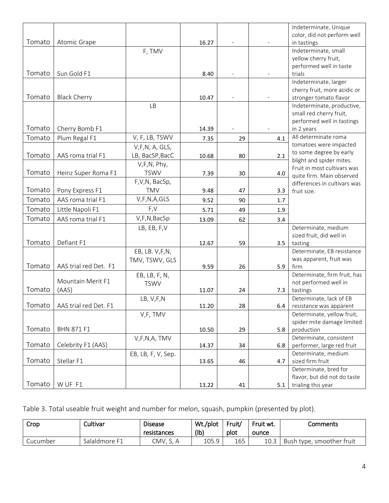|        |                                |                             |       |    |                     | Indeterminate, Unique                                |
|--------|--------------------------------|-----------------------------|-------|----|---------------------|------------------------------------------------------|
|        |                                |                             |       |    |                     | color, did not perform well                          |
| Tomato | Atomic Grape                   |                             | 16.27 |    |                     | in tastings                                          |
|        |                                | F, TMV                      |       |    |                     | Indeterminate, small                                 |
|        |                                |                             |       |    |                     | yellow cherry fruit,                                 |
|        |                                |                             |       |    |                     | performed well in taste                              |
| Tomato | Sun Gold F1                    |                             | 8.40  |    | $\bar{\phantom{a}}$ | trials                                               |
|        |                                |                             |       |    |                     | Indeterminate, larger                                |
| Tomato |                                |                             |       |    |                     | cherry fruit, more acidic or                         |
|        | <b>Black Cherry</b>            |                             | 10.47 |    |                     | stronger tomato flavor<br>Indeterminate, productive, |
|        |                                | <b>LB</b>                   |       |    |                     | small red cherry fruit,                              |
|        |                                |                             |       |    |                     | performed well in tastings                           |
| Tomato | Cherry Bomb F1                 |                             | 14.39 |    |                     | in 2 years                                           |
| Tomato | Plum Regal F1                  | V, F, LB, TSWV              | 7.35  | 29 | 4.1                 | All determinate roma                                 |
|        |                                | V,F,N, A, GLS,              |       |    |                     | tomatoes were impacted                               |
| Tomato | AAS roma trial F1              | LB, BacSP, BacC             | 10.68 | 80 | 2.1                 | to some degree by early                              |
|        |                                | V,F,N, Phy,                 |       |    |                     | blight and spider mites.                             |
| Tomato | Heinz Super Roma F1            | <b>TSWV</b>                 | 7.39  | 30 | 4.0                 | Fruit in most cultivars was                          |
|        |                                |                             |       |    |                     | quite firm. Main observed                            |
| Tomato | Pony Express F1                | F,V,N, BacSp,<br><b>TMV</b> |       |    |                     | differences in cultivars was                         |
|        |                                |                             | 9.48  | 47 | 3.3                 | fruit size.                                          |
| Tomato | AAS roma trial F1              | V,F,N,A,GLS                 | 9.52  | 90 | 1.7                 |                                                      |
| Tomato | Little Napoli F1               | F,V                         | 5.71  | 49 | 1.9                 |                                                      |
| Tomato | AAS roma trial F1              | V,F,N,BacSp                 | 13.09 | 62 | 3.4                 |                                                      |
|        |                                | LB, EB, F,V                 |       |    |                     | Determinate, medium                                  |
|        |                                |                             |       |    |                     | sized fruit, did well in                             |
| Tomato | Defiant F1                     |                             | 12.67 | 59 | 3.5                 | tasting                                              |
|        |                                | EB, LB. V,F,N,              |       |    |                     | Determinate, EB resistance                           |
| Tomato | AAS trial red Det. F1          | TMV, TSWV, GLS              | 9.59  | 26 | 5.9                 | was apparent, fruit was<br>firm                      |
|        |                                |                             |       |    |                     | Determinate, firm fruit, has                         |
|        | Mountain Merit F1              | EB, LB, F, N,               |       |    |                     | not performed well in                                |
| Tomato | (AAS)                          | <b>TSWV</b>                 | 11.07 | 24 | 7.3                 | tastings                                             |
|        |                                | LB, V,F,N                   |       |    |                     | Determinate, lack of EB                              |
|        | Tomato   AAS trial red Det. F1 |                             | 11.20 | 28 | 6.4                 | resistance was apparent                              |
|        |                                | V,F, TMV                    |       |    |                     | Determinate, yellow fruit,                           |
|        |                                |                             |       |    |                     | spider mite damage limited                           |
| Tomato | <b>BHN 871 F1</b>              |                             | 10.50 | 29 | 5.8                 | production                                           |
|        |                                | V,F,N,A, TMV                |       |    |                     | Determinate, consistent                              |
| Tomato | Celebrity F1 (AAS)             |                             | 14.37 | 34 | 6.8                 | performer, large red fruit                           |
|        |                                | EB, LB, F, V, Sep.          |       |    |                     | Determinate, medium                                  |
| Tomato | Stellar F1                     |                             | 13.65 | 46 | 4.7                 | sized firm fruit                                     |
|        |                                |                             |       |    |                     | Determinate, bred for                                |
| Tomato | W UF F1                        |                             |       |    |                     | flavor, but did not do taste<br>trialing this year   |
|        |                                |                             | 13.22 | 41 | 5.1                 |                                                      |

Table 3. Total useable fruit weight and number for melon, squash, pumpkin (presented by plot).

| Crop     | Cultivar      | <b>Disease</b><br>resistances | Wt./plot<br>$($ lb $)$ | Fruit/<br>plot | Fruit wt.<br>ounce | Comments                  |
|----------|---------------|-------------------------------|------------------------|----------------|--------------------|---------------------------|
| Cucumber | Salaldmore F1 | CMV. S. A                     | 105.9                  | 165            |                    | Bush type, smoother fruit |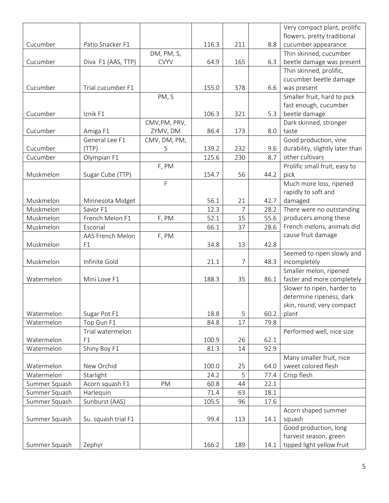|                          |                     |               |       |                |      | Very compact plant, prolific    |
|--------------------------|---------------------|---------------|-------|----------------|------|---------------------------------|
|                          |                     |               |       |                |      | flowers, pretty traditional     |
| Cucumber                 | Patio Snacker F1    |               | 116.3 | 211            | 8.8  | cucumber appearance             |
|                          |                     | DM, PM, S,    |       |                |      | Thin skinned, cucumber          |
| Cucumber                 | Diva F1 (AAS, TTP)  | <b>CVYV</b>   | 64.9  | 165            | 6.3  | beetle damage was present       |
|                          |                     |               |       |                |      | Thin skinned, prolific,         |
|                          |                     |               |       |                |      | cucumber beetle damage          |
| Cucumber                 | Trial cucumber F1   |               | 155.0 | 378            | 6.6  | was present                     |
|                          |                     | PM, S         |       |                |      | Smaller fruit, hard to pick     |
|                          |                     |               |       |                |      | fast enough, cucumber           |
| Cucumber                 | Iznik F1            |               | 106.3 | 321            | 5.3  | beetle damage                   |
|                          |                     | CMV, PM, PRV, |       |                |      | Dark skinned, stronger          |
| Cucumber                 | Amiga F1            | ZYMV, DM      | 86.4  | 173            | 8.0  | taste                           |
|                          | General Lee F1      | CMV, DM, PM,  |       |                |      | Good production, vine           |
| Cucumber                 | (TTP)               | S             | 139.2 | 232            | 9.6  | durability, slightly later than |
| Cucumber                 | Olympian F1         |               | 125.6 | 230            | 8.7  | other cultivars                 |
|                          |                     | F, PM         |       |                |      | Prolific small fruit, easy to   |
| Muskmelon                | Sugar Cube (TTP)    |               | 154.7 | 56             | 44.2 | pick                            |
|                          |                     | F             |       |                |      | Much more loss, ripened         |
|                          |                     |               |       |                |      | rapidly to soft and             |
| Muskmelon                | Minnesota Midget    |               | 56.1  | 21             | 42.7 | damaged                         |
| Muskmelon                | Savor F1            |               | 12.3  | $\overline{7}$ | 28.2 | There were no outstanding       |
| Muskmelon                | French Melon F1     | F, PM         | 52.1  | 15             | 55.6 | producers among these           |
| Muskmelon                | Escorial            |               | 66.1  | 37             | 28.6 | French melons, animals did      |
|                          | AAS French Melon    | F, PM         |       |                |      | cause fruit damage              |
| Muskmelon                | F1                  |               | 34.8  | 13             | 42.8 |                                 |
|                          |                     |               |       |                |      | Seemed to ripen slowly and      |
| Muskmelon                | Infinite Gold       |               | 21.1  | 7              | 48.3 | incompletely                    |
|                          |                     |               |       |                |      | Smaller melon, ripened          |
| Watermelon               | Mini Love F1        |               | 188.3 | 35             | 86.1 | faster and more completely      |
|                          |                     |               |       |                |      | Slower to ripen, harder to      |
|                          |                     |               |       |                |      | determine ripeness, dark        |
|                          |                     |               |       |                |      | skin, round, very compact       |
| Watermelon               | Sugar Pot F1        |               | 18.8  | 5              | 60.2 | plant                           |
| Watermelon               | Top Gun F1          |               | 84.8  | 17             | 79.8 |                                 |
|                          | Trial watermelon    |               |       |                |      | Performed well, nice size       |
| Watermelon               | F1                  |               | 100.9 | 26             | 62.1 |                                 |
| Watermelon               | Shiny Boy F1        |               | 81.3  | 14             | 92.9 |                                 |
|                          |                     |               |       |                |      | Many smaller fruit, nice        |
| Watermelon<br>Watermelon | New Orchid          |               | 100.0 | 25<br>5        | 64.0 | sweet colored flesh             |
|                          | Starlight           |               | 24.2  |                | 77.4 | Crisp flesh                     |
| Summer Squash            | Acorn squash F1     | PM            | 60.8  | 44             | 22.1 |                                 |
| Summer Squash            | Harlequin           |               | 71.4  | 63             | 18.1 |                                 |
| Summer Squash            | Sunburst (AAS)      |               | 105.5 | 96             | 17.6 |                                 |
|                          |                     |               |       |                |      | Acorn shaped summer             |
| Summer Squash            | Su. squash trial F1 |               | 99.4  | 113            | 14.1 | squash                          |
|                          |                     |               |       |                |      | Good production, long           |
|                          |                     |               |       |                |      | harvest season, green           |
| Summer Squash            | Zephyr              |               | 166.2 | 189            | 14.1 | tipped light yellow fruit       |